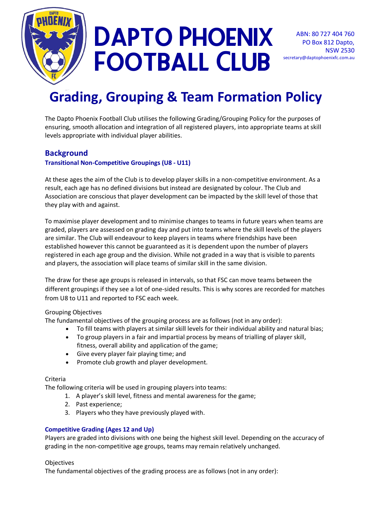

# DAPTO PHOENIX Football Club

# **Grading, Grouping & Team Formation Policy**

The Dapto Phoenix Football Club utilises the following Grading/Grouping Policy for the purposes of ensuring, smooth allocation and integration of all registered players, into appropriate teams at skill levels appropriate with individual player abilities.

# **Background**

#### **Transitional Non-Competitive Groupings (U8 - U11)**

At these ages the aim of the Club is to develop player skills in a non-competitive environment. As a result, each age has no defined divisions but instead are designated by colour. The Club and Association are conscious that player development can be impacted by the skill level of those that they play with and against.

To maximise player development and to minimise changes to teams in future years when teams are graded, players are assessed on grading day and put into teams where the skill levels of the players are similar. The Club will endeavour to keep players in teams where friendships have been established however this cannot be guaranteed as it is dependent upon the number of players registered in each age group and the division. While not graded in a way that is visible to parents and players, the association will place teams of similar skill in the same division.

The draw for these age groups is released in intervals, so that FSC can move teams between the different groupings if they see a lot of one-sided results. This is why scores are recorded for matches from U8 to U11 and reported to FSC each week.

#### Grouping Objectives

The fundamental objectives of the grouping process are as follows (not in any order):

- To fill teams with players at similar skill levels for their individual ability and natural bias;
- To group players in a fair and impartial process by means of trialling of player skill, fitness, overall ability and application of the game;
- Give every player fair playing time; and
- Promote club growth and player development.

## Criteria

The following criteria will be used in grouping players into teams:

- 1. A player's skill level, fitness and mental awareness for the game;
- 2. Past experience;
- 3. Players who they have previously played with.

## **Competitive Grading (Ages 12 and Up)**

Players are graded into divisions with one being the highest skill level. Depending on the accuracy of grading in the non-competitive age groups, teams may remain relatively unchanged.

#### **Objectives**

The fundamental objectives of the grading process are as follows (not in any order):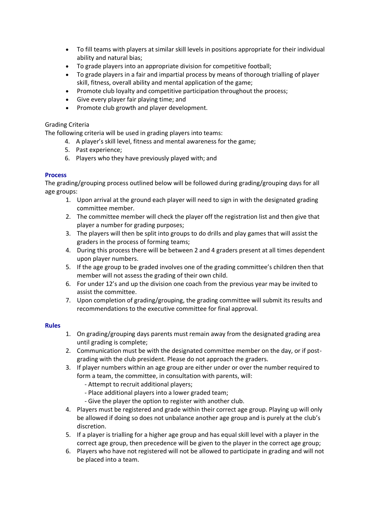- To fill teams with players at similar skill levels in positions appropriate for their individual ability and natural bias;
- To grade players into an appropriate division for competitive football;
- To grade players in a fair and impartial process by means of thorough trialling of player skill, fitness, overall ability and mental application of the game;
- Promote club loyalty and competitive participation throughout the process;
- Give every player fair playing time; and
- Promote club growth and player development.

#### Grading Criteria

The following criteria will be used in grading players into teams:

- 4. A player's skill level, fitness and mental awareness for the game;
- 5. Past experience;
- 6. Players who they have previously played with; and

#### **Process**

The grading/grouping process outlined below will be followed during grading/grouping days for all age groups:

- 1. Upon arrival at the ground each player will need to sign in with the designated grading committee member.
- 2. The committee member will check the player off the registration list and then give that player a number for grading purposes;
- 3. The players will then be split into groups to do drills and play games that will assist the graders in the process of forming teams;
- 4. During this process there will be between 2 and 4 graders present at all times dependent upon player numbers.
- 5. If the age group to be graded involves one of the grading committee's children then that member will not assess the grading of their own child.
- 6. For under 12's and up the division one coach from the previous year may be invited to assist the committee.
- 7. Upon completion of grading/grouping, the grading committee will submit its results and recommendations to the executive committee for final approval.

#### **Rules**

- 1. On grading/grouping days parents must remain away from the designated grading area until grading is complete;
- 2. Communication must be with the designated committee member on the day, or if postgrading with the club president. Please do not approach the graders.
- 3. If player numbers within an age group are either under or over the number required to form a team, the committee, in consultation with parents, will:
	- Attempt to recruit additional players;
	- Place additional players into a lower graded team;
	- Give the player the option to register with another club.
- 4. Players must be registered and grade within their correct age group. Playing up will only be allowed if doing so does not unbalance another age group and is purely at the club's discretion.
- 5. If a player is trialling for a higher age group and has equal skill level with a player in the correct age group, then precedence will be given to the player in the correct age group;
- 6. Players who have not registered will not be allowed to participate in grading and will not be placed into a team.